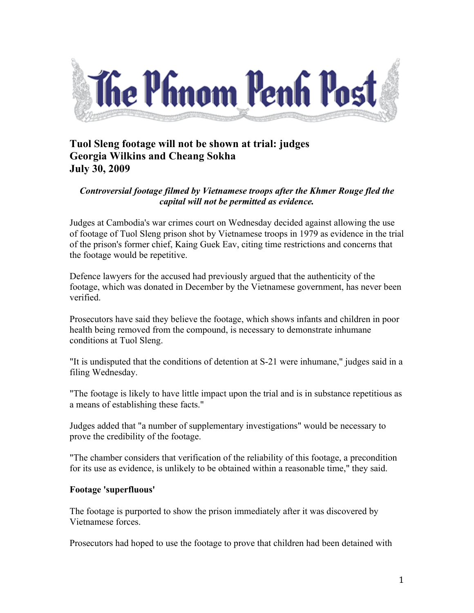

## **Tuol Sleng footage will not be shown at trial: judges Georgia Wilkins and Cheang Sokha July 30, 2009**

## *Controversial footage filmed by Vietnamese troops after the Khmer Rouge fled the capital will not be permitted as evidence.*

Judges at Cambodia's war crimes court on Wednesday decided against allowing the use of footage of Tuol Sleng prison shot by Vietnamese troops in 1979 as evidence in the trial of the prison's former chief, Kaing Guek Eav, citing time restrictions and concerns that the footage would be repetitive.

Defence lawyers for the accused had previously argued that the authenticity of the footage, which was donated in December by the Vietnamese government, has never been verified.

Prosecutors have said they believe the footage, which shows infants and children in poor health being removed from the compound, is necessary to demonstrate inhumane conditions at Tuol Sleng.

"It is undisputed that the conditions of detention at S-21 were inhumane," judges said in a filing Wednesday.

"The footage is likely to have little impact upon the trial and is in substance repetitious as a means of establishing these facts."

Judges added that "a number of supplementary investigations" would be necessary to prove the credibility of the footage.

"The chamber considers that verification of the reliability of this footage, a precondition for its use as evidence, is unlikely to be obtained within a reasonable time," they said.

## **Footage 'superfluous'**

The footage is purported to show the prison immediately after it was discovered by Vietnamese forces.

Prosecutors had hoped to use the footage to prove that children had been detained with